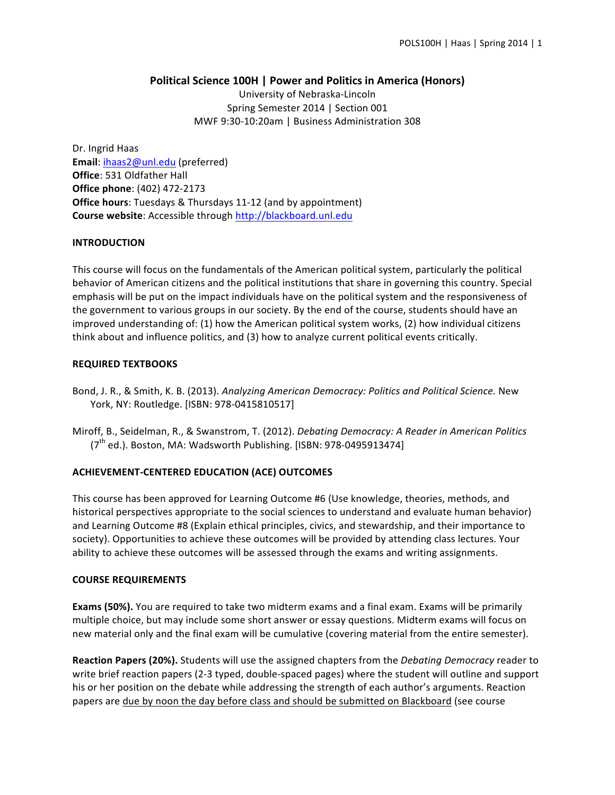# **Political Science 100H | Power and Politics in America (Honors)**

University of Nebraska-Lincoln Spring Semester 2014 | Section 001 MWF 9:30-10:20am | Business Administration 308

Dr. Ingrid Haas Email: ihaas2@unl.edu (preferred) **Office:** 531 Oldfather Hall **Office phone**: (402) 472-2173 **Office hours:** Tuesdays & Thursdays 11-12 (and by appointment) **Course website:** Accessible through http://blackboard.unl.edu

# **INTRODUCTION**

This course will focus on the fundamentals of the American political system, particularly the political behavior of American citizens and the political institutions that share in governing this country. Special emphasis will be put on the impact individuals have on the political system and the responsiveness of the government to various groups in our society. By the end of the course, students should have an improved understanding of: (1) how the American political system works, (2) how individual citizens think about and influence politics, and (3) how to analyze current political events critically.

# **REQUIRED TEXTBOOKS**

- Bond, J. R., & Smith, K. B. (2013). *Analyzing American Democracy: Politics and Political Science*. New York, NY: Routledge. [ISBN: 978-0415810517]
- Miroff, B., Seidelman, R., & Swanstrom, T. (2012). *Debating Democracy: A Reader in American Politics*  $(7<sup>th</sup>$  ed.). Boston, MA: Wadsworth Publishing. [ISBN: 978-0495913474]

# **ACHIEVEMENT-CENTERED EDUCATION (ACE) OUTCOMES**

This course has been approved for Learning Outcome #6 (Use knowledge, theories, methods, and historical perspectives appropriate to the social sciences to understand and evaluate human behavior) and Learning Outcome #8 (Explain ethical principles, civics, and stewardship, and their importance to society). Opportunities to achieve these outcomes will be provided by attending class lectures. Your ability to achieve these outcomes will be assessed through the exams and writing assignments.

# **COURSE REQUIREMENTS**

**Exams (50%).** You are required to take two midterm exams and a final exam. Exams will be primarily multiple choice, but may include some short answer or essay questions. Midterm exams will focus on new material only and the final exam will be cumulative (covering material from the entire semester).

**Reaction Papers (20%).** Students will use the assigned chapters from the *Debating Democracy* reader to write brief reaction papers (2-3 typed, double-spaced pages) where the student will outline and support his or her position on the debate while addressing the strength of each author's arguments. Reaction papers are due by noon the day before class and should be submitted on Blackboard (see course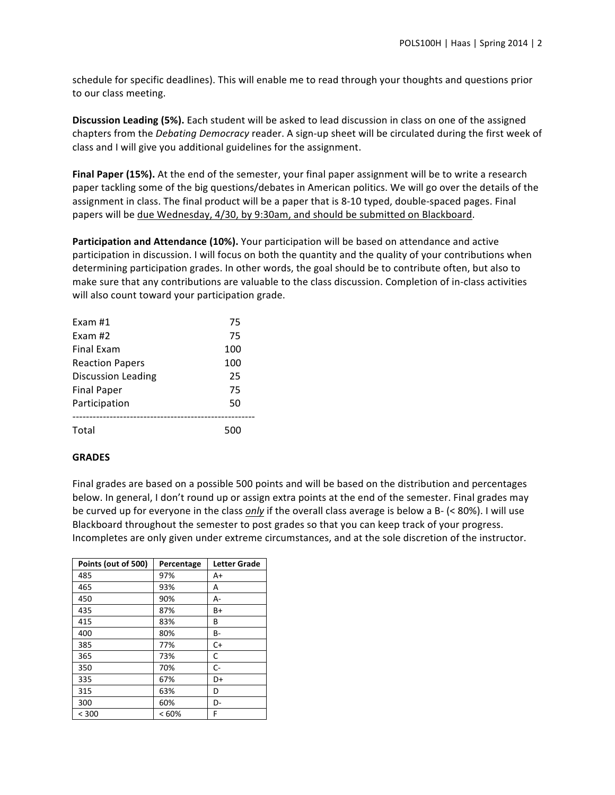schedule for specific deadlines). This will enable me to read through your thoughts and questions prior to our class meeting.

**Discussion Leading (5%).** Each student will be asked to lead discussion in class on one of the assigned chapters from the *Debating Democracy* reader. A sign-up sheet will be circulated during the first week of class and I will give you additional guidelines for the assignment.

**Final Paper (15%).** At the end of the semester, your final paper assignment will be to write a research paper tackling some of the big questions/debates in American politics. We will go over the details of the assignment in class. The final product will be a paper that is 8-10 typed, double-spaced pages. Final papers will be due Wednesday, 4/30, by 9:30am, and should be submitted on Blackboard.

**Participation and Attendance (10%).** Your participation will be based on attendance and active participation in discussion. I will focus on both the quantity and the quality of your contributions when determining participation grades. In other words, the goal should be to contribute often, but also to make sure that any contributions are valuable to the class discussion. Completion of in-class activities will also count toward your participation grade.

| Exam $#1$                 | 75  |
|---------------------------|-----|
| Exam #2                   | 75  |
| <b>Final Exam</b>         | 100 |
| <b>Reaction Papers</b>    | 100 |
| <b>Discussion Leading</b> | 25  |
| <b>Final Paper</b>        | 75  |
| Participation             | 50  |
| Total                     | 500 |

# **GRADES**

Final grades are based on a possible 500 points and will be based on the distribution and percentages below. In general, I don't round up or assign extra points at the end of the semester. Final grades may be curved up for everyone in the class *only* if the overall class average is below a B- (< 80%). I will use Blackboard throughout the semester to post grades so that you can keep track of your progress. Incompletes are only given under extreme circumstances, and at the sole discretion of the instructor.

| Points (out of 500) | Percentage | <b>Letter Grade</b> |
|---------------------|------------|---------------------|
| 485                 | 97%        | A+                  |
| 465                 | 93%        | A                   |
| 450                 | 90%        | А-                  |
| 435                 | 87%        | B+                  |
| 415                 | 83%        | B                   |
| 400                 | 80%        | B-                  |
| 385                 | 77%        | $C+$                |
| 365                 | 73%        | C                   |
| 350                 | 70%        | $C-$                |
| 335                 | 67%        | D+                  |
| 315                 | 63%        | D                   |
| 300                 | 60%        | D-                  |
| < 300               | <60%       | F                   |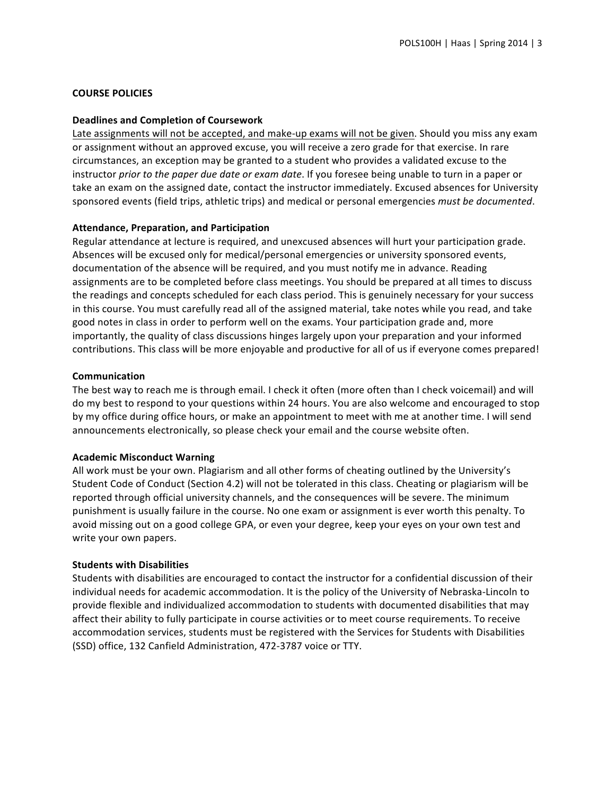### **COURSE POLICIES**

#### **Deadlines and Completion of Coursework**

Late assignments will not be accepted, and make-up exams will not be given. Should you miss any exam or assignment without an approved excuse, you will receive a zero grade for that exercise. In rare circumstances, an exception may be granted to a student who provides a validated excuse to the instructor *prior* to the paper due date or exam date. If you foresee being unable to turn in a paper or take an exam on the assigned date, contact the instructor immediately. Excused absences for University sponsored events (field trips, athletic trips) and medical or personal emergencies *must be documented*.

### **Attendance, Preparation, and Participation**

Regular attendance at lecture is required, and unexcused absences will hurt your participation grade. Absences will be excused only for medical/personal emergencies or university sponsored events, documentation of the absence will be required, and you must notify me in advance. Reading assignments are to be completed before class meetings. You should be prepared at all times to discuss the readings and concepts scheduled for each class period. This is genuinely necessary for your success in this course. You must carefully read all of the assigned material, take notes while you read, and take good notes in class in order to perform well on the exams. Your participation grade and, more importantly, the quality of class discussions hinges largely upon your preparation and your informed contributions. This class will be more enjoyable and productive for all of us if everyone comes prepared!

### **Communication**

The best way to reach me is through email. I check it often (more often than I check voicemail) and will do my best to respond to your questions within 24 hours. You are also welcome and encouraged to stop by my office during office hours, or make an appointment to meet with me at another time. I will send announcements electronically, so please check your email and the course website often.

#### **Academic Misconduct Warning**

All work must be your own. Plagiarism and all other forms of cheating outlined by the University's Student Code of Conduct (Section 4.2) will not be tolerated in this class. Cheating or plagiarism will be reported through official university channels, and the consequences will be severe. The minimum punishment is usually failure in the course. No one exam or assignment is ever worth this penalty. To avoid missing out on a good college GPA, or even your degree, keep your eyes on your own test and write your own papers.

#### **Students with Disabilities**

Students with disabilities are encouraged to contact the instructor for a confidential discussion of their individual needs for academic accommodation. It is the policy of the University of Nebraska-Lincoln to provide flexible and individualized accommodation to students with documented disabilities that may affect their ability to fully participate in course activities or to meet course requirements. To receive accommodation services, students must be registered with the Services for Students with Disabilities (SSD) office, 132 Canfield Administration, 472-3787 voice or TTY.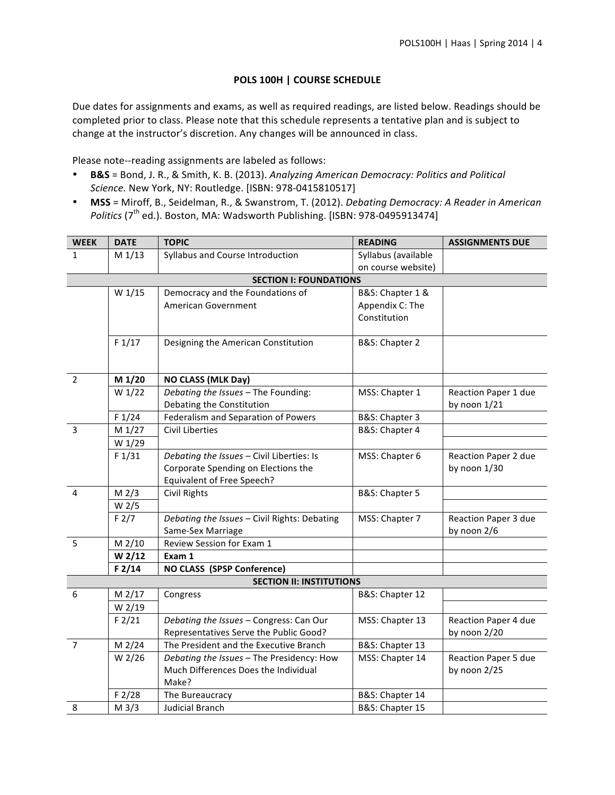# **POLS 100H | COURSE SCHEDULE**

Due dates for assignments and exams, as well as required readings, are listed below. Readings should be completed prior to class. Please note that this schedule represents a tentative plan and is subject to change at the instructor's discretion. Any changes will be announced in class.

Please note--reading assignments are labeled as follows:

- **B&S** = Bond, J. R., & Smith, K. B. (2013). Analyzing American Democracy: Politics and Political *Science.* New York, NY: Routledge. [ISBN: 978-0415810517]
- MSS = Miroff, B., Seidelman, R., & Swanstrom, T. (2012). *Debating Democracy: A Reader in American Politics* (7<sup>th</sup> ed.). Boston, MA: Wadsworth Publishing. [ISBN: 978-0495913474]

| <b>WEEK</b>                     | <b>DATE</b>       | <b>TOPIC</b>                                 | <b>READING</b>      | <b>ASSIGNMENTS DUE</b>      |  |  |
|---------------------------------|-------------------|----------------------------------------------|---------------------|-----------------------------|--|--|
| $\mathbf{1}$                    | M 1/13            | Syllabus and Course Introduction             | Syllabus (available |                             |  |  |
|                                 |                   |                                              | on course website)  |                             |  |  |
| <b>SECTION I: FOUNDATIONS</b>   |                   |                                              |                     |                             |  |  |
|                                 | W 1/15            | Democracy and the Foundations of             | B&S: Chapter 1 &    |                             |  |  |
|                                 |                   | American Government                          | Appendix C: The     |                             |  |  |
|                                 |                   |                                              | Constitution        |                             |  |  |
|                                 |                   |                                              |                     |                             |  |  |
|                                 | F1/17             | Designing the American Constitution          | B&S: Chapter 2      |                             |  |  |
|                                 |                   |                                              |                     |                             |  |  |
|                                 |                   |                                              |                     |                             |  |  |
| $\overline{2}$                  | M 1/20            | NO CLASS (MLK Day)                           |                     |                             |  |  |
|                                 | W 1/22            | Debating the Issues - The Founding:          | MSS: Chapter 1      | Reaction Paper 1 due        |  |  |
|                                 |                   | Debating the Constitution                    |                     | by noon 1/21                |  |  |
|                                 | F1/24             | Federalism and Separation of Powers          | B&S: Chapter 3      |                             |  |  |
| $\overline{3}$                  | M 1/27            | <b>Civil Liberties</b>                       | B&S: Chapter 4      |                             |  |  |
|                                 | W 1/29            |                                              |                     |                             |  |  |
|                                 | F1/31             | Debating the Issues - Civil Liberties: Is    | MSS: Chapter 6      | Reaction Paper 2 due        |  |  |
|                                 |                   | Corporate Spending on Elections the          |                     | by noon 1/30                |  |  |
|                                 |                   | <b>Equivalent of Free Speech?</b>            |                     |                             |  |  |
| 4                               | M <sub>2/3</sub>  | <b>Civil Rights</b>                          | B&S: Chapter 5      |                             |  |  |
|                                 | W <sub>2/5</sub>  |                                              |                     |                             |  |  |
|                                 | F2/7              | Debating the Issues - Civil Rights: Debating | MSS: Chapter 7      | Reaction Paper 3 due        |  |  |
|                                 |                   | Same-Sex Marriage                            |                     | by noon 2/6                 |  |  |
| 5                               | M 2/10            | Review Session for Exam 1                    |                     |                             |  |  |
|                                 | W <sub>2/12</sub> | Exam 1                                       |                     |                             |  |  |
|                                 | F2/14             | <b>NO CLASS (SPSP Conference)</b>            |                     |                             |  |  |
| <b>SECTION II: INSTITUTIONS</b> |                   |                                              |                     |                             |  |  |
| 6                               | M 2/17            | Congress                                     | B&S: Chapter 12     |                             |  |  |
|                                 | W 2/19            |                                              |                     |                             |  |  |
|                                 | $F$ 2/21          | Debating the Issues - Congress: Can Our      | MSS: Chapter 13     | Reaction Paper 4 due        |  |  |
|                                 |                   | Representatives Serve the Public Good?       |                     | by noon 2/20                |  |  |
| $\overline{7}$                  | M 2/24            | The President and the Executive Branch       | B&S: Chapter 13     |                             |  |  |
|                                 | W 2/26            | Debating the Issues - The Presidency: How    | MSS: Chapter 14     | <b>Reaction Paper 5 due</b> |  |  |
|                                 |                   | Much Differences Does the Individual         |                     | by noon 2/25                |  |  |
|                                 |                   | Make?                                        |                     |                             |  |  |
|                                 | F 2/28            | The Bureaucracy                              | B&S: Chapter 14     |                             |  |  |
| 8                               | M 3/3             | <b>Judicial Branch</b>                       | B&S: Chapter 15     |                             |  |  |